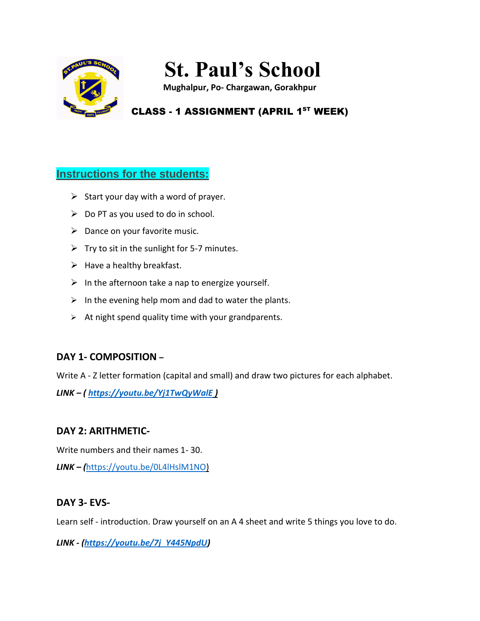

# **St. Paul's School**

**Mughalpur, Po- Chargawan, Gorakhpur**

## CLASS - 1 ASSIGNMENT (APRIL 1<sup>ST</sup> WEEK)

### **Instructions for the students:**

- $\triangleright$  Start your day with a word of prayer.
- $\triangleright$  Do PT as you used to do in school.
- $\triangleright$  Dance on your favorite music.
- $\triangleright$  Try to sit in the sunlight for 5-7 minutes.
- $\triangleright$  Have a healthy breakfast.
- $\triangleright$  In the afternoon take a nap to energize yourself.
- $\triangleright$  In the evening help mom and dad to water the plants.
- $\triangleright$  At night spend quality time with your grandparents.

#### **DAY 1- COMPOSITION –**

Write A - Z letter formation (capital and small) and draw two pictures for each alphabet.

*LINK – ( <https://youtu.be/Yj1TwQyWalE> )*

#### **DAY 2: ARITHMETIC-**

Write numbers and their names 1- 30.

*LINK – (*[https://youtu.be/0L4lHslM1NO\)](https://youtu.be/0L4lHslM1NO)

#### **DAY 3- EVS-**

Learn self - introduction. Draw yourself on an A 4 sheet and write 5 things you love to do.

*LINK - [\(https://youtu.be/7j\\_Y445NpdU\)](https://youtu.be/7j_Y445NpdU)*